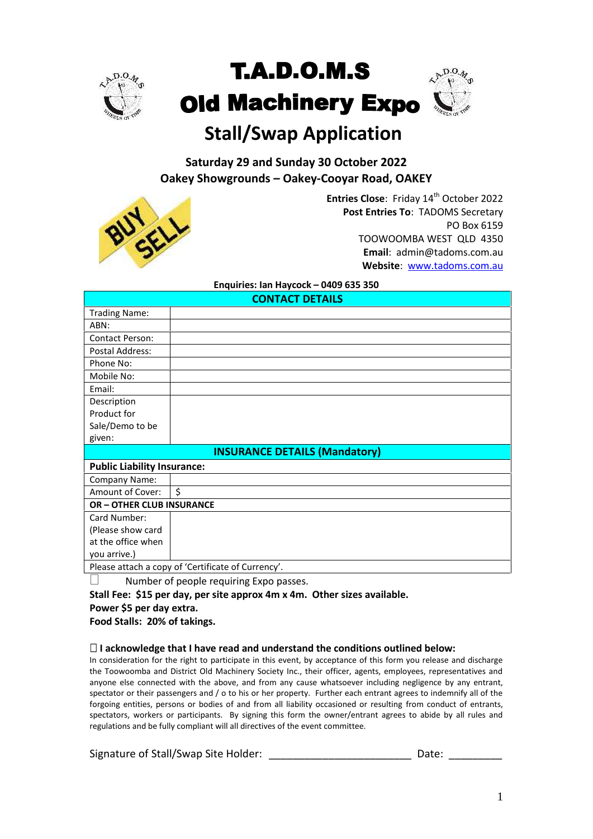

## **T.A.D.O.M.S Old Machinery Expo**



## **Stall/Swap Application**

**Saturday 29 and Sunday 30 October 2022 Oakey Showgrounds – Oakey-Cooyar Road, OAKEY**



**Entries Close: Friday 14<sup>th</sup> October 2022 Post Entries To**: TADOMS Secretary PO Box 6159 TOOWOOMBA WEST QLD 4350 **Email**: admin@tadoms.com.au **Website**: www.tadoms.com.au

#### **Enquiries: Ian Haycock – 0409 635 350**

| <b>CONTACT DETAILS</b>               |                                                    |  |
|--------------------------------------|----------------------------------------------------|--|
| <b>Trading Name:</b>                 |                                                    |  |
| ABN:                                 |                                                    |  |
| <b>Contact Person:</b>               |                                                    |  |
| Postal Address:                      |                                                    |  |
| Phone No:                            |                                                    |  |
| Mobile No:                           |                                                    |  |
| Email:                               |                                                    |  |
| Description                          |                                                    |  |
| Product for                          |                                                    |  |
| Sale/Demo to be                      |                                                    |  |
| given:                               |                                                    |  |
| <b>INSURANCE DETAILS (Mandatory)</b> |                                                    |  |
| <b>Public Liability Insurance:</b>   |                                                    |  |
| Company Name:                        |                                                    |  |
| Amount of Cover:                     | \$                                                 |  |
| <b>OR-OTHER CLUB INSURANCE</b>       |                                                    |  |
| Card Number:                         |                                                    |  |
| (Please show card                    |                                                    |  |
| at the office when                   |                                                    |  |
| you arrive.)                         |                                                    |  |
|                                      | Please attach a copy of 'Certificate of Currency'. |  |

 $\Box$  Number of people requiring Expo passes.

**Stall Fee: \$15 per day, per site approx 4m x 4m. Other sizes available. Power \$5 per day extra.**

**Food Stalls: 20% of takings.**

### **I acknowledge that I have read and understand the conditions outlined below:**

In consideration for the right to participate in this event, by acceptance of this form you release and discharge the Toowoomba and District Old Machinery Society Inc., their officer, agents, employees, representatives and anyone else connected with the above, and from any cause whatsoever including negligence by any entrant, spectator or their passengers and / o to his or her property. Further each entrant agrees to indemnify all of the forgoing entities, persons or bodies of and from all liability occasioned or resulting from conduct of entrants, spectators, workers or participants. By signing this form the owner/entrant agrees to abide by all rules and regulations and be fully compliant will all directives of the event committee.

Signature of Stall/Swap Site Holder: <br>
Date: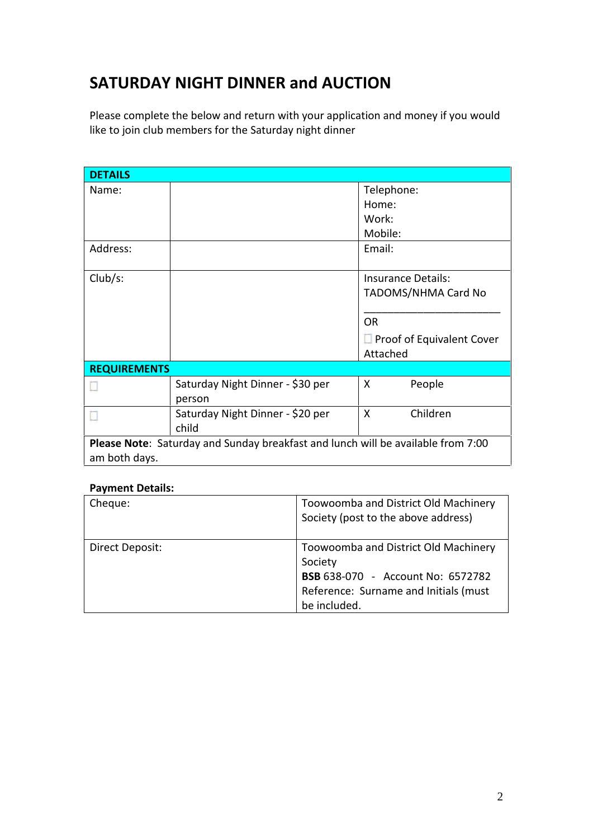### **SATURDAY NIGHT DINNER and AUCTION**

Please complete the below and return with your application and money if you would like to join club members for the Saturday night dinner

| <b>DETAILS</b>                                                                   |                                           |                                       |  |  |
|----------------------------------------------------------------------------------|-------------------------------------------|---------------------------------------|--|--|
| Name:                                                                            |                                           | Telephone:                            |  |  |
|                                                                                  |                                           | Home:                                 |  |  |
|                                                                                  |                                           | Work:                                 |  |  |
|                                                                                  |                                           | Mobile:                               |  |  |
| Address:                                                                         |                                           | Email:                                |  |  |
| Club/s:                                                                          |                                           | <b>Insurance Details:</b>             |  |  |
|                                                                                  |                                           | <b>TADOMS/NHMA Card No</b>            |  |  |
|                                                                                  |                                           | <b>OR</b>                             |  |  |
|                                                                                  |                                           | Proof of Equivalent Cover<br>Attached |  |  |
| <b>REQUIREMENTS</b>                                                              |                                           |                                       |  |  |
|                                                                                  | Saturday Night Dinner - \$30 per          | People<br>X                           |  |  |
|                                                                                  | person                                    |                                       |  |  |
|                                                                                  | Saturday Night Dinner - \$20 per<br>child | Children<br>X                         |  |  |
| Please Note: Saturday and Sunday breakfast and lunch will be available from 7:00 |                                           |                                       |  |  |
| am both days.                                                                    |                                           |                                       |  |  |

### **Payment Details:**

| Cheque:         | Toowoomba and District Old Machinery<br>Society (post to the above address)                                                                          |
|-----------------|------------------------------------------------------------------------------------------------------------------------------------------------------|
| Direct Deposit: | Toowoomba and District Old Machinery<br>Society<br><b>BSB</b> 638-070 - Account No: 6572782<br>Reference: Surname and Initials (must<br>be included. |